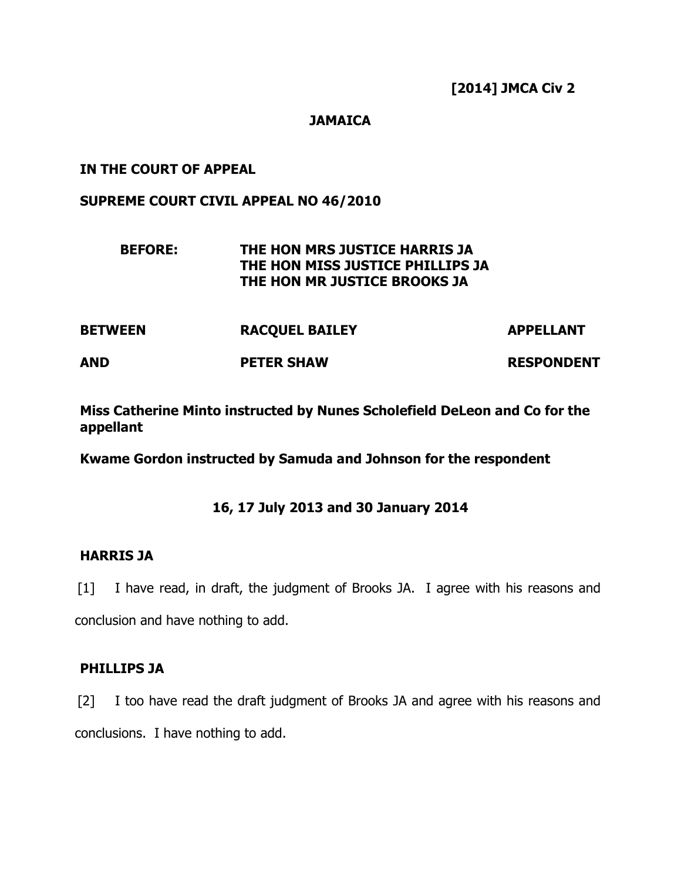## **JAMAICA**

## IN THE COURT OF APPEAL

## SUPREME COURT CIVIL APPEAL NO 46/2010

# BEFORE: THE HON MRS JUSTICE HARRIS JA THE HON MISS JUSTICE PHILLIPS JA THE HON MR JUSTICE BROOKS JA

| <b>BETWEEN</b> | <b>RACQUEL BAILEY</b> | <b>APPELLANT</b>  |
|----------------|-----------------------|-------------------|
| <b>AND</b>     | <b>PETER SHAW</b>     | <b>RESPONDENT</b> |

Miss Catherine Minto instructed by Nunes Scholefield DeLeon and Co for the appellant

Kwame Gordon instructed by Samuda and Johnson for the respondent

# 16, 17 July 2013 and 30 January 2014

### HARRIS JA

[1] I have read, in draft, the judgment of Brooks JA. I agree with his reasons and conclusion and have nothing to add.

### PHILLIPS JA

[2] I too have read the draft judgment of Brooks JA and agree with his reasons and conclusions. I have nothing to add.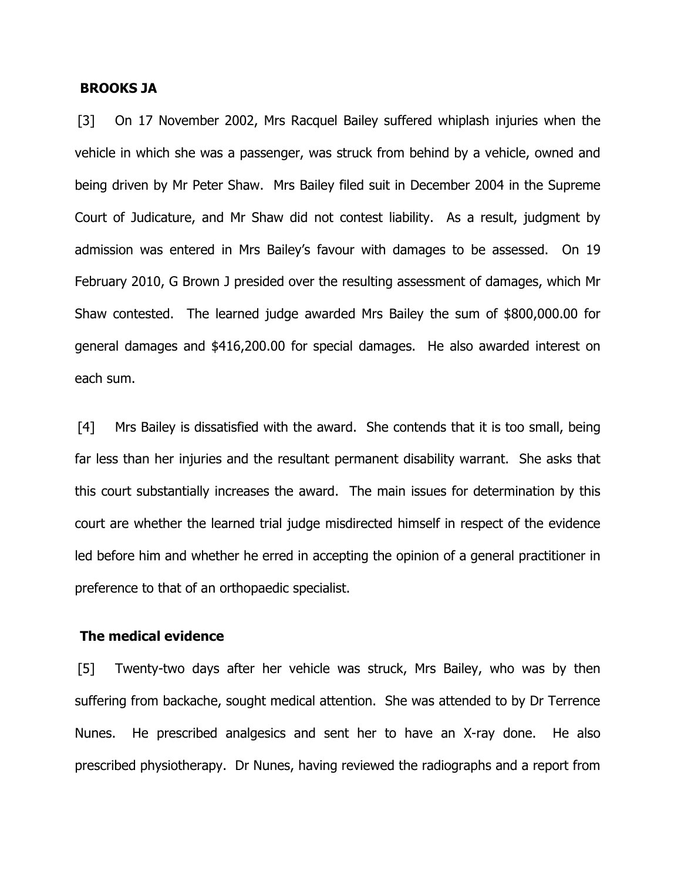#### BROOKS JA

[3] On 17 November 2002, Mrs Racquel Bailey suffered whiplash injuries when the vehicle in which she was a passenger, was struck from behind by a vehicle, owned and being driven by Mr Peter Shaw. Mrs Bailey filed suit in December 2004 in the Supreme Court of Judicature, and Mr Shaw did not contest liability. As a result, judgment by admission was entered in Mrs Bailey's favour with damages to be assessed. On 19 February 2010, G Brown J presided over the resulting assessment of damages, which Mr Shaw contested. The learned judge awarded Mrs Bailey the sum of \$800,000.00 for general damages and \$416,200.00 for special damages. He also awarded interest on each sum.

[4] Mrs Bailey is dissatisfied with the award. She contends that it is too small, being far less than her injuries and the resultant permanent disability warrant. She asks that this court substantially increases the award. The main issues for determination by this court are whether the learned trial judge misdirected himself in respect of the evidence led before him and whether he erred in accepting the opinion of a general practitioner in preference to that of an orthopaedic specialist.

#### The medical evidence

[5] Twenty-two days after her vehicle was struck, Mrs Bailey, who was by then suffering from backache, sought medical attention. She was attended to by Dr Terrence Nunes. He prescribed analgesics and sent her to have an X-ray done. He also prescribed physiotherapy. Dr Nunes, having reviewed the radiographs and a report from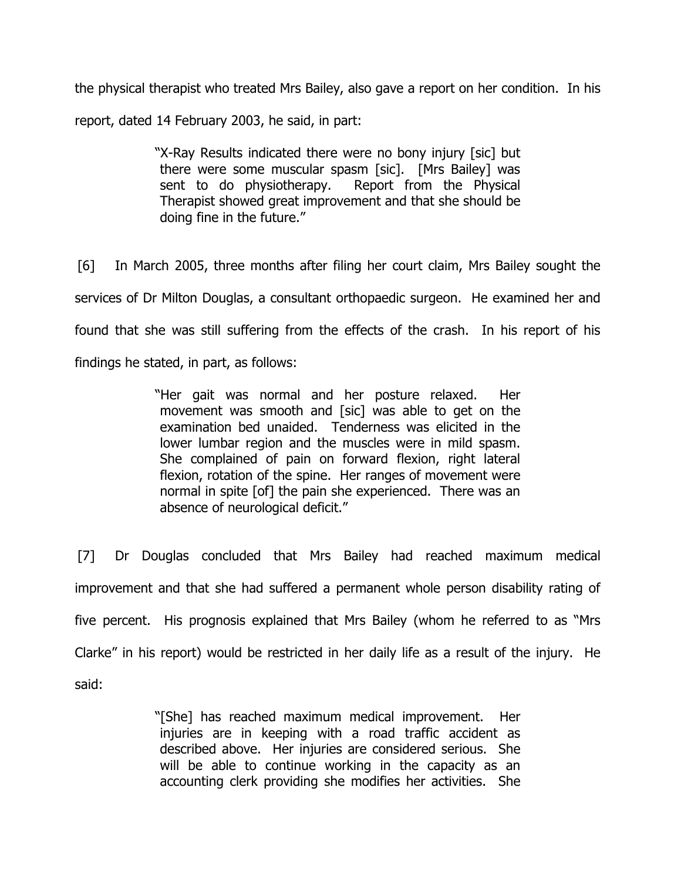the physical therapist who treated Mrs Bailey, also gave a report on her condition. In his report, dated 14 February 2003, he said, in part:

> "X-Ray Results indicated there were no bony injury [sic] but there were some muscular spasm [sic]. [Mrs Bailey] was sent to do physiotherapy. Report from the Physical Therapist showed great improvement and that she should be doing fine in the future."

[6] In March 2005, three months after filing her court claim, Mrs Bailey sought the services of Dr Milton Douglas, a consultant orthopaedic surgeon. He examined her and found that she was still suffering from the effects of the crash. In his report of his findings he stated, in part, as follows:

> "Her gait was normal and her posture relaxed. Her movement was smooth and [sic] was able to get on the examination bed unaided. Tenderness was elicited in the lower lumbar region and the muscles were in mild spasm. She complained of pain on forward flexion, right lateral flexion, rotation of the spine. Her ranges of movement were normal in spite [of] the pain she experienced. There was an absence of neurological deficit."

[7] Dr Douglas concluded that Mrs Bailey had reached maximum medical improvement and that she had suffered a permanent whole person disability rating of five percent. His prognosis explained that Mrs Bailey (whom he referred to as "Mrs Clarke" in his report) would be restricted in her daily life as a result of the injury. He said:

> "[She] has reached maximum medical improvement. Her injuries are in keeping with a road traffic accident as described above. Her injuries are considered serious. She will be able to continue working in the capacity as an accounting clerk providing she modifies her activities. She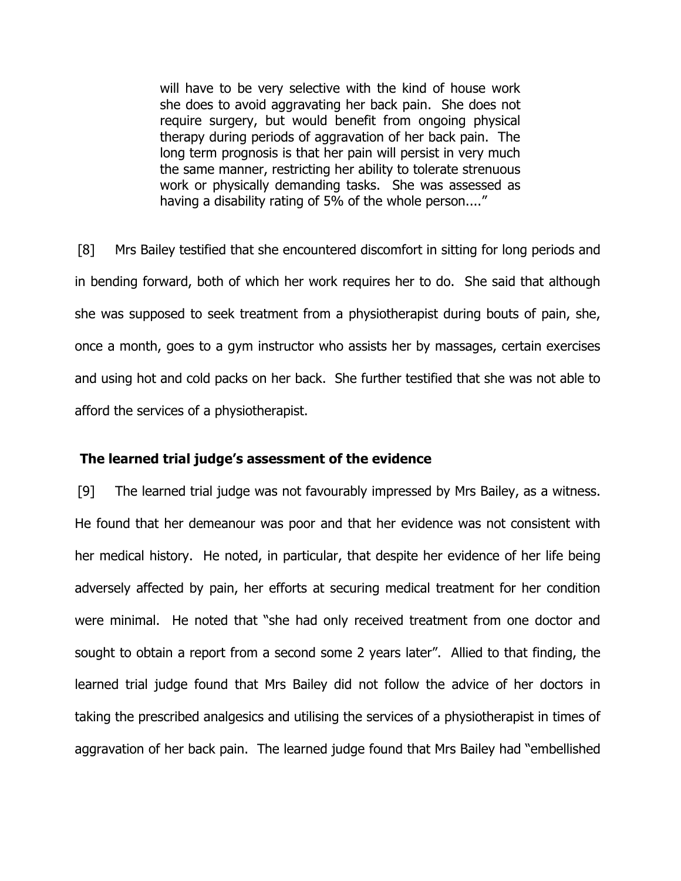will have to be very selective with the kind of house work she does to avoid aggravating her back pain. She does not require surgery, but would benefit from ongoing physical therapy during periods of aggravation of her back pain. The long term prognosis is that her pain will persist in very much the same manner, restricting her ability to tolerate strenuous work or physically demanding tasks. She was assessed as having a disability rating of 5% of the whole person...."

[8] Mrs Bailey testified that she encountered discomfort in sitting for long periods and in bending forward, both of which her work requires her to do. She said that although she was supposed to seek treatment from a physiotherapist during bouts of pain, she, once a month, goes to a gym instructor who assists her by massages, certain exercises and using hot and cold packs on her back. She further testified that she was not able to afford the services of a physiotherapist.

#### The learned trial judge's assessment of the evidence

[9] The learned trial judge was not favourably impressed by Mrs Bailey, as a witness. He found that her demeanour was poor and that her evidence was not consistent with her medical history. He noted, in particular, that despite her evidence of her life being adversely affected by pain, her efforts at securing medical treatment for her condition were minimal. He noted that "she had only received treatment from one doctor and sought to obtain a report from a second some 2 years later". Allied to that finding, the learned trial judge found that Mrs Bailey did not follow the advice of her doctors in taking the prescribed analgesics and utilising the services of a physiotherapist in times of aggravation of her back pain. The learned judge found that Mrs Bailey had "embellished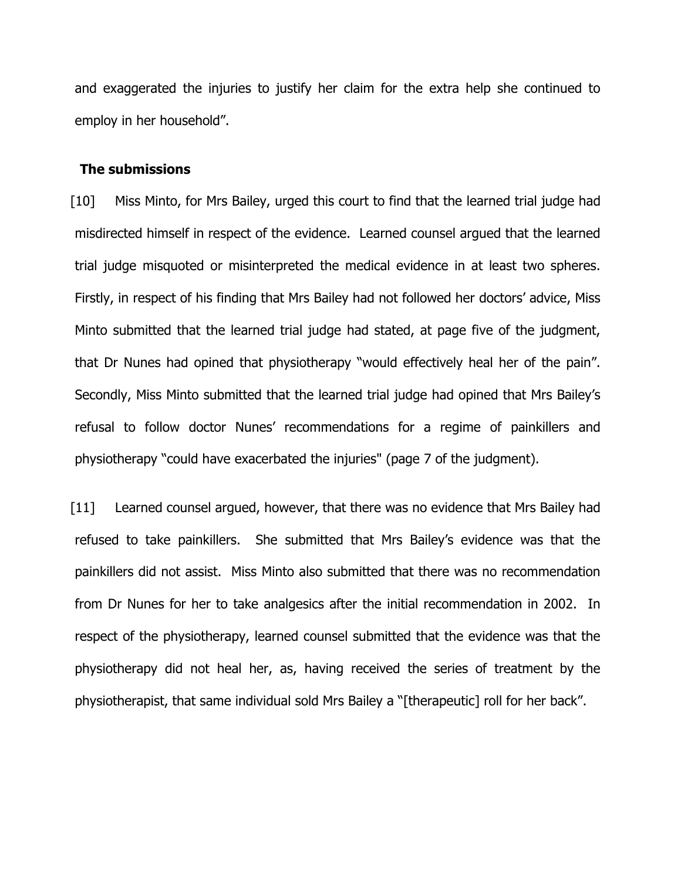and exaggerated the injuries to justify her claim for the extra help she continued to employ in her household".

#### The submissions

[10] Miss Minto, for Mrs Bailey, urged this court to find that the learned trial judge had misdirected himself in respect of the evidence. Learned counsel argued that the learned trial judge misquoted or misinterpreted the medical evidence in at least two spheres. Firstly, in respect of his finding that Mrs Bailey had not followed her doctors' advice, Miss Minto submitted that the learned trial judge had stated, at page five of the judgment, that Dr Nunes had opined that physiotherapy "would effectively heal her of the pain". Secondly, Miss Minto submitted that the learned trial judge had opined that Mrs Bailey's refusal to follow doctor Nunes' recommendations for a regime of painkillers and physiotherapy "could have exacerbated the injuries" (page 7 of the judgment).

[11] Learned counsel argued, however, that there was no evidence that Mrs Bailey had refused to take painkillers. She submitted that Mrs Bailey's evidence was that the painkillers did not assist. Miss Minto also submitted that there was no recommendation from Dr Nunes for her to take analgesics after the initial recommendation in 2002. In respect of the physiotherapy, learned counsel submitted that the evidence was that the physiotherapy did not heal her, as, having received the series of treatment by the physiotherapist, that same individual sold Mrs Bailey a "[therapeutic] roll for her back".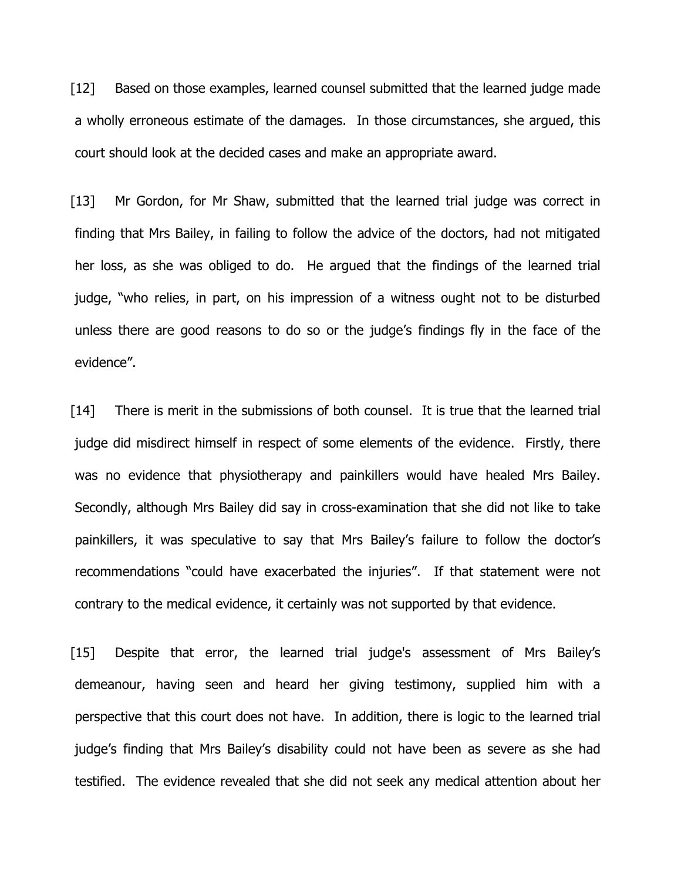[12] Based on those examples, learned counsel submitted that the learned judge made a wholly erroneous estimate of the damages. In those circumstances, she argued, this court should look at the decided cases and make an appropriate award.

[13] Mr Gordon, for Mr Shaw, submitted that the learned trial judge was correct in finding that Mrs Bailey, in failing to follow the advice of the doctors, had not mitigated her loss, as she was obliged to do. He argued that the findings of the learned trial judge, "who relies, in part, on his impression of a witness ought not to be disturbed unless there are good reasons to do so or the judge's findings fly in the face of the evidence".

[14] There is merit in the submissions of both counsel. It is true that the learned trial judge did misdirect himself in respect of some elements of the evidence. Firstly, there was no evidence that physiotherapy and painkillers would have healed Mrs Bailey. Secondly, although Mrs Bailey did say in cross-examination that she did not like to take painkillers, it was speculative to say that Mrs Bailey's failure to follow the doctor's recommendations "could have exacerbated the injuries". If that statement were not contrary to the medical evidence, it certainly was not supported by that evidence.

[15] Despite that error, the learned trial judge's assessment of Mrs Bailey's demeanour, having seen and heard her giving testimony, supplied him with a perspective that this court does not have. In addition, there is logic to the learned trial judge's finding that Mrs Bailey's disability could not have been as severe as she had testified. The evidence revealed that she did not seek any medical attention about her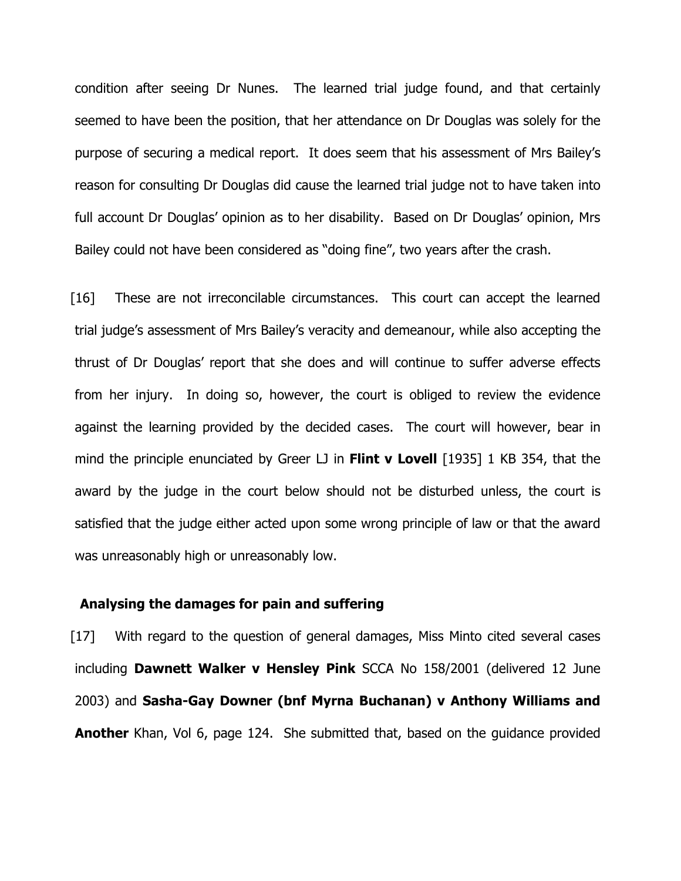condition after seeing Dr Nunes. The learned trial judge found, and that certainly seemed to have been the position, that her attendance on Dr Douglas was solely for the purpose of securing a medical report. It does seem that his assessment of Mrs Bailey's reason for consulting Dr Douglas did cause the learned trial judge not to have taken into full account Dr Douglas' opinion as to her disability. Based on Dr Douglas' opinion, Mrs Bailey could not have been considered as "doing fine", two years after the crash.

[16] These are not irreconcilable circumstances. This court can accept the learned trial judge's assessment of Mrs Bailey's veracity and demeanour, while also accepting the thrust of Dr Douglas' report that she does and will continue to suffer adverse effects from her injury. In doing so, however, the court is obliged to review the evidence against the learning provided by the decided cases. The court will however, bear in mind the principle enunciated by Greer LJ in Flint  $\bf{v}$  Lovell [1935] 1 KB 354, that the award by the judge in the court below should not be disturbed unless, the court is satisfied that the judge either acted upon some wrong principle of law or that the award was unreasonably high or unreasonably low.

### Analysing the damages for pain and suffering

[17] With regard to the question of general damages, Miss Minto cited several cases including Dawnett Walker v Hensley Pink SCCA No 158/2001 (delivered 12 June 2003) and Sasha-Gay Downer (bnf Myrna Buchanan) v Anthony Williams and **Another** Khan, Vol 6, page 124. She submitted that, based on the guidance provided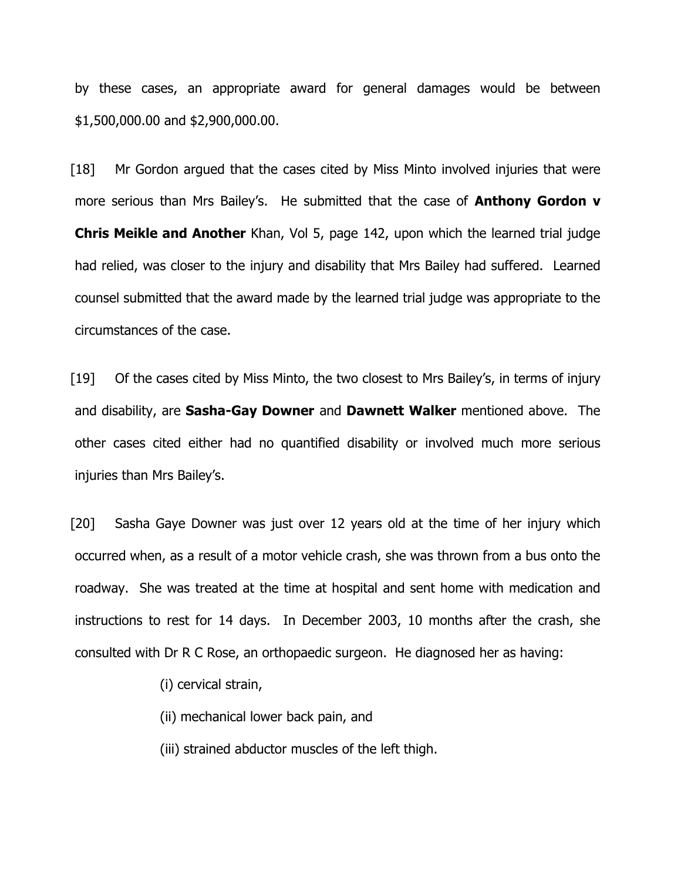by these cases, an appropriate award for general damages would be between \$1,500,000.00 and \$2,900,000.00.

[18] Mr Gordon argued that the cases cited by Miss Minto involved injuries that were more serious than Mrs Bailey's. He submitted that the case of **Anthony Gordon v Chris Meikle and Another** Khan, Vol 5, page 142, upon which the learned trial judge had relied, was closer to the injury and disability that Mrs Bailey had suffered. Learned counsel submitted that the award made by the learned trial judge was appropriate to the circumstances of the case.

[19] Of the cases cited by Miss Minto, the two closest to Mrs Bailey's, in terms of injury and disability, are Sasha-Gay Downer and Dawnett Walker mentioned above. The other cases cited either had no quantified disability or involved much more serious injuries than Mrs Bailey's.

[20] Sasha Gaye Downer was just over 12 years old at the time of her injury which occurred when, as a result of a motor vehicle crash, she was thrown from a bus onto the roadway. She was treated at the time at hospital and sent home with medication and instructions to rest for 14 days. In December 2003, 10 months after the crash, she consulted with Dr R C Rose, an orthopaedic surgeon. He diagnosed her as having:

(i) cervical strain,

(ii) mechanical lower back pain, and

(iii) strained abductor muscles of the left thigh.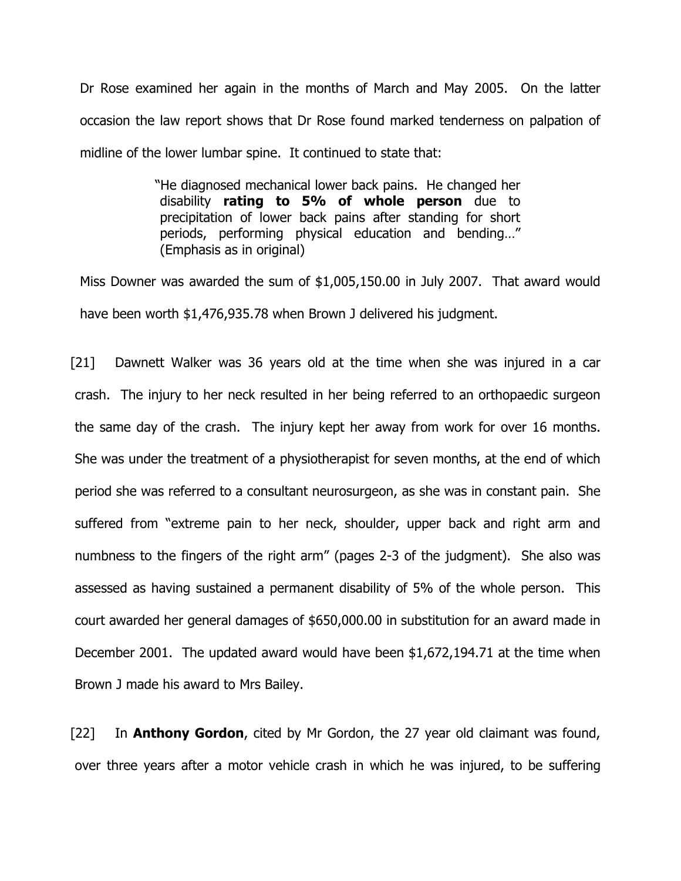Dr Rose examined her again in the months of March and May 2005. On the latter occasion the law report shows that Dr Rose found marked tenderness on palpation of midline of the lower lumbar spine. It continued to state that:

> "He diagnosed mechanical lower back pains. He changed her disability rating to 5% of whole person due to precipitation of lower back pains after standing for short periods, performing physical education and bending…" (Emphasis as in original)

Miss Downer was awarded the sum of \$1,005,150.00 in July 2007. That award would have been worth \$1,476,935.78 when Brown J delivered his judgment.

[21] Dawnett Walker was 36 years old at the time when she was injured in a car crash. The injury to her neck resulted in her being referred to an orthopaedic surgeon the same day of the crash. The injury kept her away from work for over 16 months. She was under the treatment of a physiotherapist for seven months, at the end of which period she was referred to a consultant neurosurgeon, as she was in constant pain. She suffered from "extreme pain to her neck, shoulder, upper back and right arm and numbness to the fingers of the right arm" (pages 2-3 of the judgment). She also was assessed as having sustained a permanent disability of 5% of the whole person. This court awarded her general damages of \$650,000.00 in substitution for an award made in December 2001. The updated award would have been \$1,672,194.71 at the time when Brown J made his award to Mrs Bailey.

[22] In **Anthony Gordon**, cited by Mr Gordon, the 27 year old claimant was found, over three years after a motor vehicle crash in which he was injured, to be suffering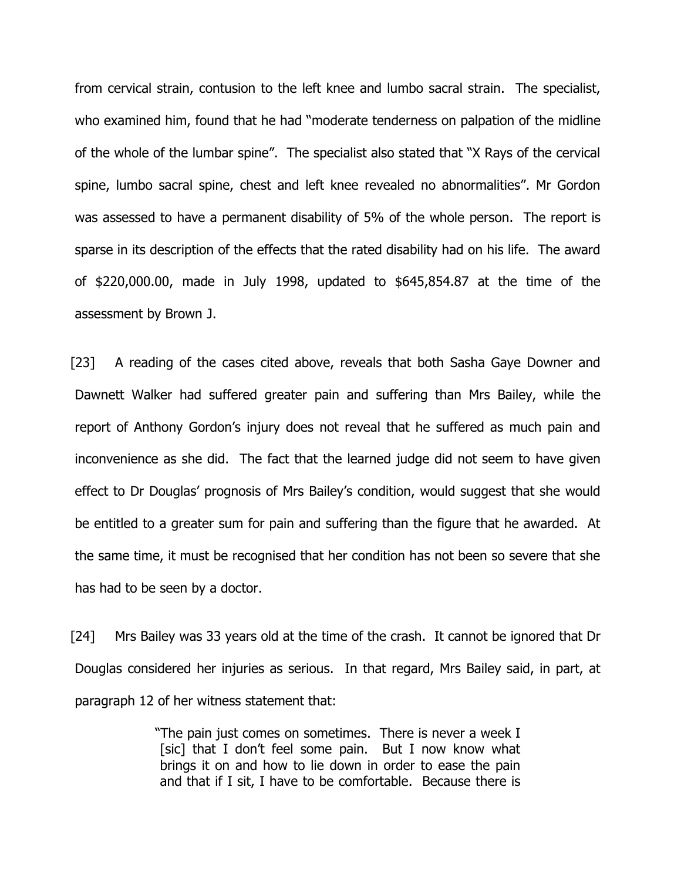from cervical strain, contusion to the left knee and lumbo sacral strain. The specialist, who examined him, found that he had "moderate tenderness on palpation of the midline of the whole of the lumbar spine". The specialist also stated that "X Rays of the cervical spine, lumbo sacral spine, chest and left knee revealed no abnormalities". Mr Gordon was assessed to have a permanent disability of 5% of the whole person. The report is sparse in its description of the effects that the rated disability had on his life. The award of \$220,000.00, made in July 1998, updated to \$645,854.87 at the time of the assessment by Brown J.

[23] A reading of the cases cited above, reveals that both Sasha Gaye Downer and Dawnett Walker had suffered greater pain and suffering than Mrs Bailey, while the report of Anthony Gordon's injury does not reveal that he suffered as much pain and inconvenience as she did. The fact that the learned judge did not seem to have given effect to Dr Douglas' prognosis of Mrs Bailey's condition, would suggest that she would be entitled to a greater sum for pain and suffering than the figure that he awarded. At the same time, it must be recognised that her condition has not been so severe that she has had to be seen by a doctor.

[24] Mrs Bailey was 33 years old at the time of the crash. It cannot be ignored that Dr Douglas considered her injuries as serious. In that regard, Mrs Bailey said, in part, at paragraph 12 of her witness statement that:

> "The pain just comes on sometimes. There is never a week I [sic] that I don't feel some pain. But I now know what brings it on and how to lie down in order to ease the pain and that if I sit, I have to be comfortable. Because there is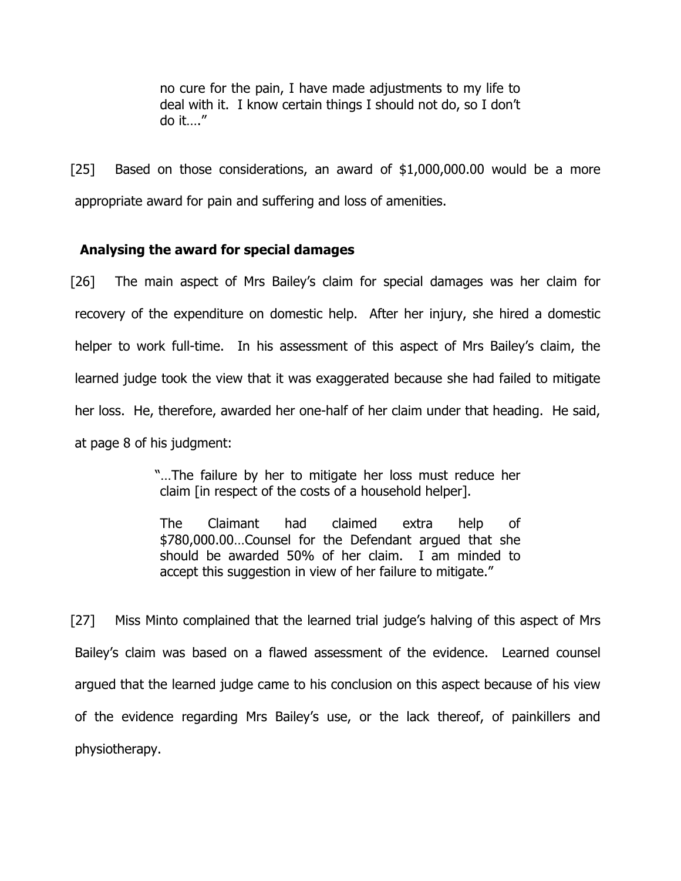no cure for the pain, I have made adjustments to my life to deal with it. I know certain things I should not do, so I don't do it…."

[25] Based on those considerations, an award of \$1,000,000.00 would be a more appropriate award for pain and suffering and loss of amenities.

# Analysing the award for special damages

[26] The main aspect of Mrs Bailey's claim for special damages was her claim for recovery of the expenditure on domestic help. After her injury, she hired a domestic helper to work full-time. In his assessment of this aspect of Mrs Bailey's claim, the learned judge took the view that it was exaggerated because she had failed to mitigate her loss. He, therefore, awarded her one-half of her claim under that heading. He said, at page 8 of his judgment:

> "…The failure by her to mitigate her loss must reduce her claim [in respect of the costs of a household helper].

The Claimant had claimed extra help of \$780,000.00…Counsel for the Defendant argued that she should be awarded 50% of her claim. I am minded to accept this suggestion in view of her failure to mitigate."

[27] Miss Minto complained that the learned trial judge's halving of this aspect of Mrs Bailey's claim was based on a flawed assessment of the evidence. Learned counsel argued that the learned judge came to his conclusion on this aspect because of his view of the evidence regarding Mrs Bailey's use, or the lack thereof, of painkillers and physiotherapy.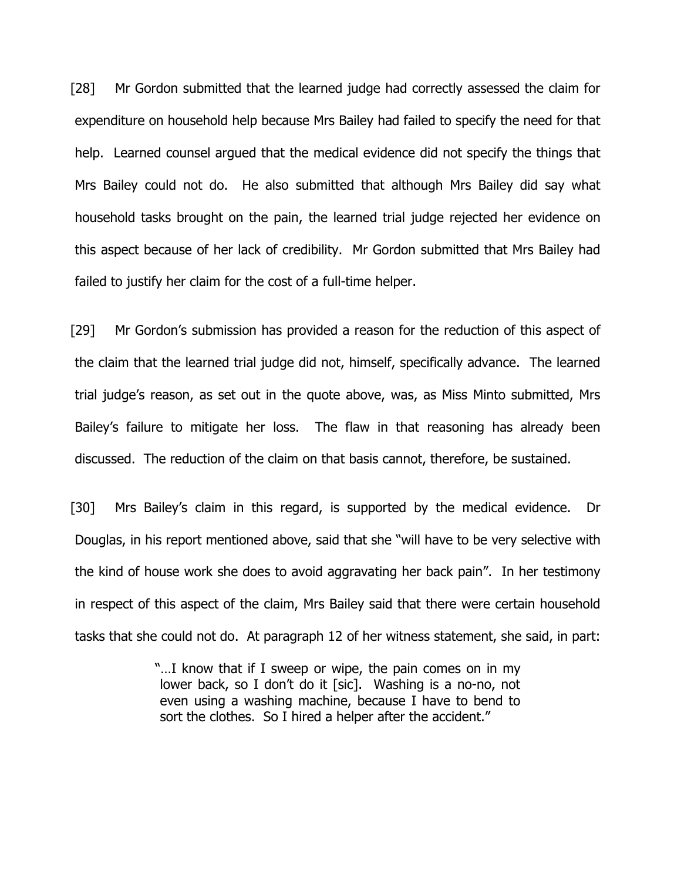[28] Mr Gordon submitted that the learned judge had correctly assessed the claim for expenditure on household help because Mrs Bailey had failed to specify the need for that help. Learned counsel argued that the medical evidence did not specify the things that Mrs Bailey could not do. He also submitted that although Mrs Bailey did say what household tasks brought on the pain, the learned trial judge rejected her evidence on this aspect because of her lack of credibility. Mr Gordon submitted that Mrs Bailey had failed to justify her claim for the cost of a full-time helper.

[29] Mr Gordon's submission has provided a reason for the reduction of this aspect of the claim that the learned trial judge did not, himself, specifically advance. The learned trial judge's reason, as set out in the quote above, was, as Miss Minto submitted, Mrs Bailey's failure to mitigate her loss. The flaw in that reasoning has already been discussed. The reduction of the claim on that basis cannot, therefore, be sustained.

[30] Mrs Bailey's claim in this regard, is supported by the medical evidence. Dr Douglas, in his report mentioned above, said that she "will have to be very selective with the kind of house work she does to avoid aggravating her back pain". In her testimony in respect of this aspect of the claim, Mrs Bailey said that there were certain household tasks that she could not do. At paragraph 12 of her witness statement, she said, in part:

> "…I know that if I sweep or wipe, the pain comes on in my lower back, so I don't do it [sic]. Washing is a no-no, not even using a washing machine, because I have to bend to sort the clothes. So I hired a helper after the accident."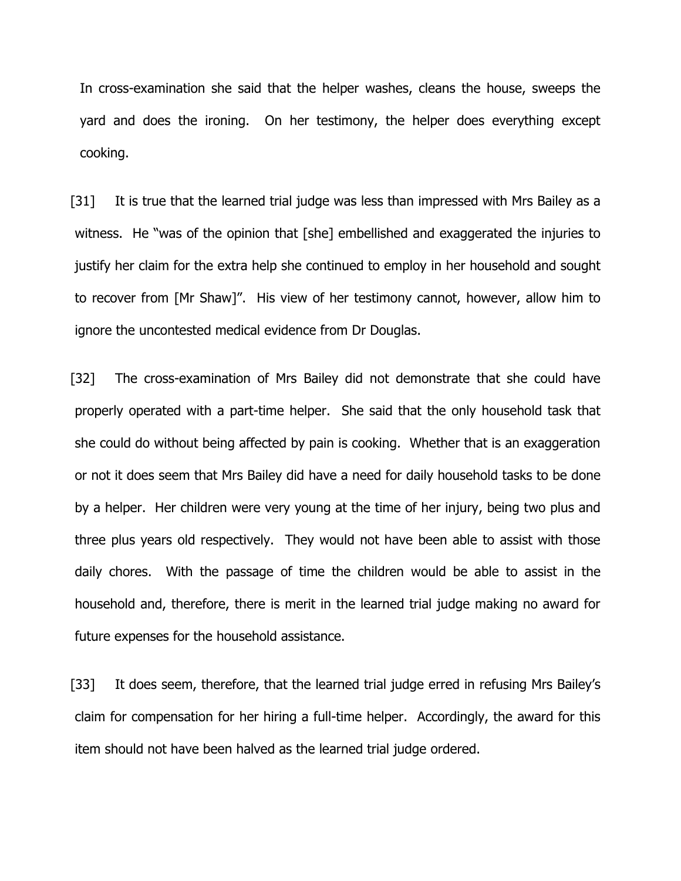In cross-examination she said that the helper washes, cleans the house, sweeps the yard and does the ironing. On her testimony, the helper does everything except cooking.

[31] It is true that the learned trial judge was less than impressed with Mrs Bailey as a witness. He "was of the opinion that [she] embellished and exaggerated the injuries to justify her claim for the extra help she continued to employ in her household and sought to recover from [Mr Shaw]". His view of her testimony cannot, however, allow him to ignore the uncontested medical evidence from Dr Douglas.

[32] The cross-examination of Mrs Bailey did not demonstrate that she could have properly operated with a part-time helper. She said that the only household task that she could do without being affected by pain is cooking. Whether that is an exaggeration or not it does seem that Mrs Bailey did have a need for daily household tasks to be done by a helper. Her children were very young at the time of her injury, being two plus and three plus years old respectively. They would not have been able to assist with those daily chores. With the passage of time the children would be able to assist in the household and, therefore, there is merit in the learned trial judge making no award for future expenses for the household assistance.

[33] It does seem, therefore, that the learned trial judge erred in refusing Mrs Bailey's claim for compensation for her hiring a full-time helper. Accordingly, the award for this item should not have been halved as the learned trial judge ordered.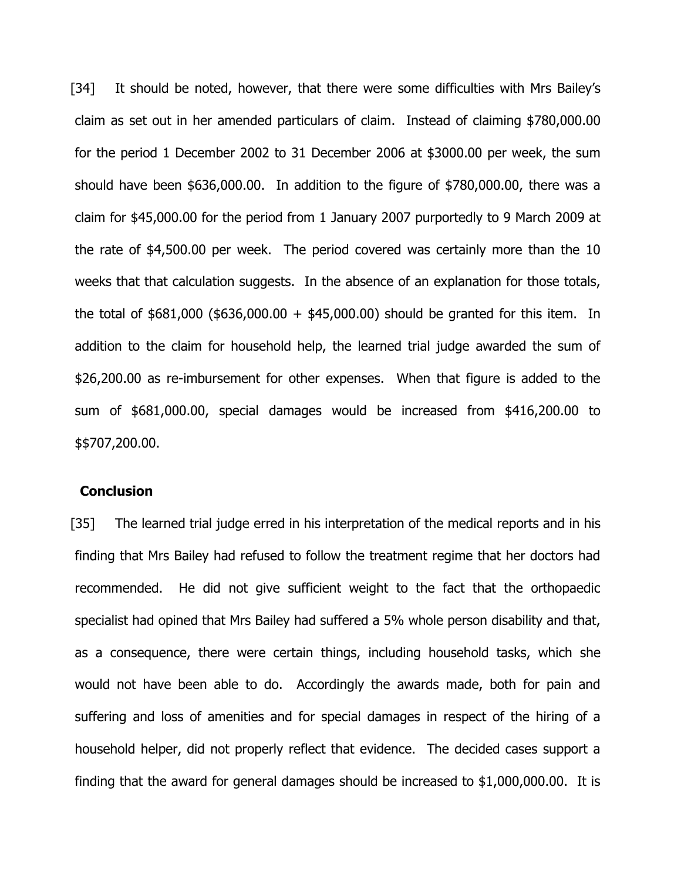[34] It should be noted, however, that there were some difficulties with Mrs Bailey's claim as set out in her amended particulars of claim. Instead of claiming \$780,000.00 for the period 1 December 2002 to 31 December 2006 at \$3000.00 per week, the sum should have been \$636,000.00. In addition to the figure of \$780,000.00, there was a claim for \$45,000.00 for the period from 1 January 2007 purportedly to 9 March 2009 at the rate of \$4,500.00 per week. The period covered was certainly more than the 10 weeks that that calculation suggests. In the absence of an explanation for those totals, the total of  $$681,000$  ( $$636,000.00 + $45,000.00$ ) should be granted for this item. In addition to the claim for household help, the learned trial judge awarded the sum of \$26,200.00 as re-imbursement for other expenses. When that figure is added to the sum of \$681,000.00, special damages would be increased from \$416,200.00 to \$\$707,200.00.

### Conclusion

[35] The learned trial judge erred in his interpretation of the medical reports and in his finding that Mrs Bailey had refused to follow the treatment regime that her doctors had recommended. He did not give sufficient weight to the fact that the orthopaedic specialist had opined that Mrs Bailey had suffered a 5% whole person disability and that, as a consequence, there were certain things, including household tasks, which she would not have been able to do. Accordingly the awards made, both for pain and suffering and loss of amenities and for special damages in respect of the hiring of a household helper, did not properly reflect that evidence. The decided cases support a finding that the award for general damages should be increased to \$1,000,000.00. It is